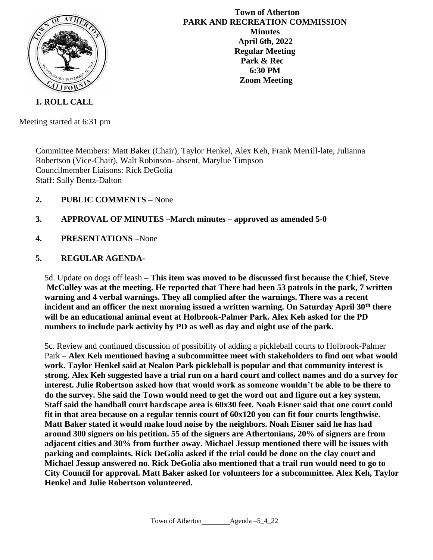

**Town of Atherton PARK AND RECREATION COMMISSION Minutes April 6th, 2022 Regular Meeting Park & Rec 6:30 PM Zoom Meeting**

**1. ROLL CALL**

Meeting started at 6:31 pm

Committee Members: Matt Baker (Chair), Taylor Henkel, Alex Keh, Frank Merrill-late, Julianna Robertson (Vice-Chair), Walt Robinson- absent, Marylue Timpson Councilmember Liaisons: Rick DeGolia Staff: Sally Bentz-Dalton

- **2. PUBLIC COMMENTS –** None
- **3. APPROVAL OF MINUTES –March minutes – approved as amended 5-0**
- **4. PRESENTATIONS –**None

# **5. REGULAR AGENDA-**

5d. Update on dogs off leash **– This item was moved to be discussed first because the Chief, Steve McCulley was at the meeting. He reported that There had been 53 patrols in the park, 7 written warning and 4 verbal warnings. They all complied after the warnings. There was a recent incident and an officer the next morning issued a written warning. On Saturday April 30th there will be an educational animal event at Holbrook-Palmer Park. Alex Keh asked for the PD numbers to include park activity by PD as well as day and night use of the park.** 

5c. Review and continued discussion of possibility of adding a pickleball courts to Holbrook-Palmer Park – **Alex Keh mentioned having a subcommittee meet with stakeholders to find out what would work. Taylor Henkel said at Nealon Park pickleball is popular and that community interest is strong. Alex Keh suggested have a trial run on a hard court and collect names and do a survey for interest. Julie Robertson asked how that would work as someone wouldn't be able to be there to do the survey. She said the Town would need to get the word out and figure out a key system. Staff said the handball court hardscape area is 60x30 feet. Noah Eisner said that one court could fit in that area because on a regular tennis court of 60x120 you can fit four courts lengthwise. Matt Baker stated it would make loud noise by the neighbors. Noah Eisner said he has had around 300 signers on his petition. 55 of the signers are Athertonians, 20% of signers are from adjacent cities and 30% from further away. Michael Jessup mentioned there will be issues with parking and complaints. Rick DeGolia asked if the trial could be done on the clay court and Michael Jessup answered no. Rick DeGolia also mentioned that a trail run would need to go to City Council for approval. Matt Baker asked for volunteers for a subcommittee. Alex Keh, Taylor Henkel and Julie Robertson volunteered.**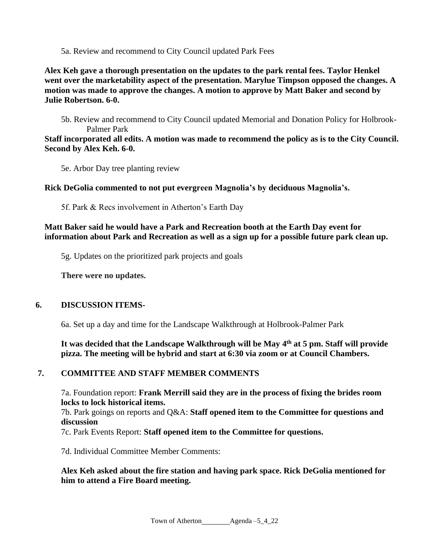5a. Review and recommend to City Council updated Park Fees

**Alex Keh gave a thorough presentation on the updates to the park rental fees. Taylor Henkel went over the marketability aspect of the presentation. Marylue Timpson opposed the changes. A motion was made to approve the changes. A motion to approve by Matt Baker and second by Julie Robertson. 6-0.** 

5b. Review and recommend to City Council updated Memorial and Donation Policy for Holbrook-Palmer Park

**Staff incorporated all edits. A motion was made to recommend the policy as is to the City Council. Second by Alex Keh. 6-0.** 

5e. Arbor Day tree planting review

**Rick DeGolia commented to not put evergreen Magnolia's by deciduous Magnolia's.** 

5f. Park & Recs involvement in Atherton's Earth Day

### **Matt Baker said he would have a Park and Recreation booth at the Earth Day event for information about Park and Recreation as well as a sign up for a possible future park clean up.**

5g. Updates on the prioritized park projects and goals

**There were no updates.** 

#### **6. DISCUSSION ITEMS-**

6a. Set up a day and time for the Landscape Walkthrough at Holbrook-Palmer Park

It was decided that the Landscape Walkthrough will be May 4<sup>th</sup> at 5 pm. Staff will provide **pizza. The meeting will be hybrid and start at 6:30 via zoom or at Council Chambers.**

# **7. COMMITTEE AND STAFF MEMBER COMMENTS**

7a. Foundation report: **Frank Merrill said they are in the process of fixing the brides room locks to lock historical items.** 

7b. [Park goings on reports](http://www.ci.atherton.ca.us/DocumentCenter/View/6817/Park-Goings-On-Sept-2019) and Q&A: **Staff opened item to the Committee for questions and discussion**

7c. Park Events Report: **Staff opened item to the Committee for questions.**

7d. Individual Committee Member Comments:

### **Alex Keh asked about the fire station and having park space. Rick DeGolia mentioned for him to attend a Fire Board meeting.**